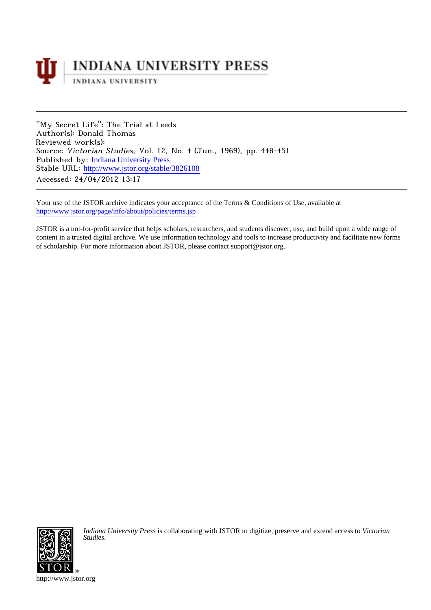

"My Secret Life": The Trial at Leeds Author(s): Donald Thomas Reviewed work(s): Source: Victorian Studies, Vol. 12, No. 4 (Jun., 1969), pp. 448-451 Published by: [Indiana University Press](http://www.jstor.org/action/showPublisher?publisherCode=iupress) Stable URL: [http://www.jstor.org/stable/3826108](http://www.jstor.org/stable/3826108?origin=JSTOR-pdf) Accessed: 24/04/2012 13:17

Your use of the JSTOR archive indicates your acceptance of the Terms & Conditions of Use, available at <http://www.jstor.org/page/info/about/policies/terms.jsp>

JSTOR is a not-for-profit service that helps scholars, researchers, and students discover, use, and build upon a wide range of content in a trusted digital archive. We use information technology and tools to increase productivity and facilitate new forms of scholarship. For more information about JSTOR, please contact support@jstor.org.



*Indiana University Press* is collaborating with JSTOR to digitize, preserve and extend access to *Victorian Studies.*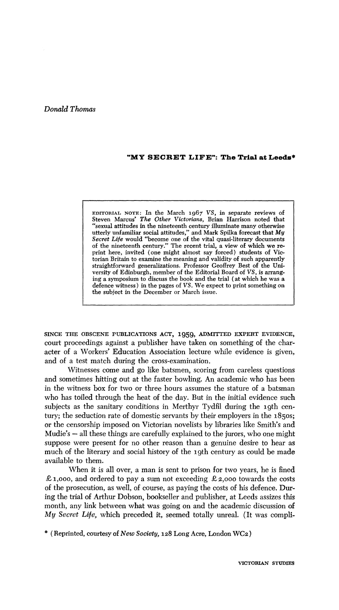## **Donald Thomas**

## **"MY SECRET LIFE": The Trial at Leeds\***

**EDITORIAL NOTE: In the March 1967 VS, in separate reviews of Steven Marcus' The Other Victorians, Brian Harrison noted that "sexual attitudes in the nineteenth century illuminate many otherwise utterly unfamiliar social attitudes," and Mark Spilka forecast that My Secret Life would "become one of the vital quasi-literary documents of the nineteenth century." The recent trial, a view of which we reprint here, invited (one might almost say forced) students of Victorian Britain to examine the meaning and validity of such apparently straightforward generalizations. Professor Geoffrey Best of the University of Edinburgh, member of the Editorial Board of VS, is arranging a symposium to discuss the book and the trial (at which he was a defence witness) in the pages of VS. We expect to print something on the subject in the December or March issue.** 

**SINCE THE OBSCENE PUBLICATIONS ACT, 1959, ADMITTED EXPERT EVIDENCE, court proceedings against a publisher have taken on something of the character of a Workers' Education Association lecture while evidence is given, and of a test match during the cross-examination.** 

**Witnesses come and go like batsmen, scoring from careless questions and sometimes hitting out at the faster bowling. An academic who has been in the witness box for two or three hours assumes the stature of a batsman who has toiled through the heat of the day. But in the initial evidence such**  subjects as the sanitary conditions in Merthyr Tydfil during the 19th cen**tury; the seduction rate of domestic servants by their employers in the 1850s; or the censorship imposed on Victorian novelists by libraries like Smith's and Mudie's - all these things are carefully explained to the jurors, who one might suppose were present for no other reason than a genuine desire to hear as much of the literary and social history of the igth century as could be made available to them.** 

**When it is all over, a man is sent to prison for two years, he is fined £1,ooo, and ordered to pay a sum not exceeding £2,000 towards the costs of the prosecution, as well, of course, as paying the costs of his defence. During the trial of Arthur Dobson, bookseller and publisher, at Leeds assizes this month, any link between what was going on and the academic discussion of My Secret Life, which preceded it, seemed totally unreal. (It was compli-** 

**\* (Reprinted, courtesy of New Society, 128 Long Acre, London WC2)**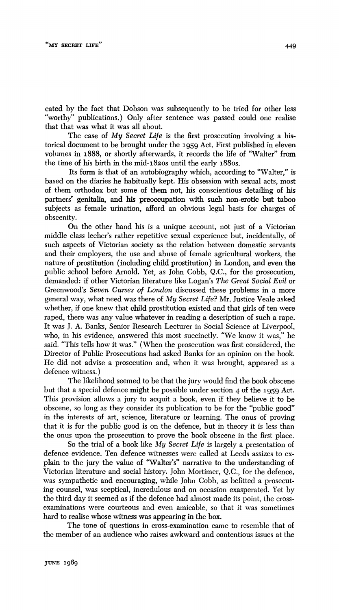**cated by the fact that Dobson was subsequently to be tried for other less "worthy" publications.) Only after sentence was passed could one realise that that was what it was all about.** 

**The case of My Secret Life is the first prosecution involving a historical document to be brought under the 1959 Act. First published in eleven volumes in 1888, or shortly afterwards, it records the life of "Walter" from the time of his birth in the mid-182os until the early 188os.** 

**Its form is that of an autobiography which, according to "Walter," is based on the diaries he habitually kept. His obsession with sexual acts, most of them orthodox but some of them not, his conscientious detailing of his partners' genitalia, and his preoccupation with such non-erotic but taboo subjects as female urination, afford an obvious legal basis for charges of obscenity.** 

**On the other hand his is a unique account, not just of a Victorian middle class lecher's rather repetitive sexual experience but, incidentally, of such aspects of Victorian society as the relation between domestic servants and their employers, the use and abuse of female agricultural workers, the nature of prostitution (including child prostitution) in London, and even the public school before Arnold. Yet, as John Cobb, Q.C., for the prosecution, demanded: if other Victorian literature like Logan's The Great Social Evil or Greenwood's Seven Curses of London discussed these problems in a more general way, what need was there of My Secret Life? Mr. Justice Veale asked whether, if one knew that child prostitution existed and that girls of ten were raped, there was any value whatever in reading a description of such a rape. It was J. A. Banks, Senior Research Lecturer in Social Science at Liverpool, who, in his evidence, answered this most succinctly. "We know it was," he said. "This tells how it was." (When the prosecution was first considered, the Director of Public Prosecutions had asked Banks for an opinion on the book. He did not advise a prosecution and, when it was brought, appeared as a defence witness.)** 

**The likelihood seemed to be that the jury would find the book obscene but that a special defence might be possible under section 4 of the 1959 Act. This provision allows a jury to acquit a book, even if they believe it to be obscene, so long as they consider its publication to be for the "public good" in the interests of art, science, literature or learning. The onus of proving that it is for the public good is on the defence, but in theory it is less than the onus upon the prosecution to prove the book obscene in the first place.** 

**So the trial of a book like My Secret Life is largely a presentation of defence evidence. Ten defence witnesses were called at Leeds assizes to explain to the jury the value of "Walter's" narrative to the understanding of Victorian literature and social history. John Mortimer, Q.C., for the defence, was sympathetic and encouraging, while John Cobb, as befitted a prosecuting counsel, was sceptical, incredulous and on occasion exasperated. Yet by the third day it seemed as if the defence had almost made its point, the crossexaminations were courteous and even amicable, so that it was sometimes hard to realise whose witness was appearing in the box.** 

**The tone of questions in cross-examination came to resemble that of the member of an audience who raises awkward and contentious issues at the**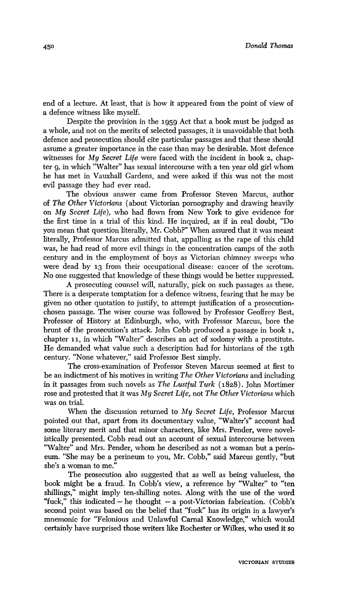**end of a lecture. At least, that is how it appeared from the point of view of a defence witness like myself.** 

**Despite the provision in the 1959 Act that a book must be judged as a whole, and not on the merits of selected passages, it is unavoidable that both defence and prosecution should cite particular passages and that these should assume a greater importance in the case than may be desirable. Most defence witnesses for My Secret Life were faced with the incident in book 2, chapter 9, in which "Walter" has sexual intercourse with a ten year old girl whom he has met in Vauxhall Gardens, and were asked if this was not the most evil passage they had ever read.** 

**The obvious answer came from Professor Steven Marcus, author of The Other Victorians (about Victorian pornography and drawing heavily on My Secret Life), who had flown from New York to give evidence for the first time in a trial of this kind. He inquired, as if in real doubt, "Do you mean that question literally, Mr. Cobb?" When assured that it was meant literally, Professor Marcus admitted that, appalling as the rape of this child was, he had read of more evil things in the concentration camps of the 20th century and in the employment of boys as Victorian chimney sweeps who were dead by 13 from their occupational disease: cancer of the scrotum. No one suggested that knowledge of these things would be better suppressed.** 

**A prosecuting counsel will, naturally, pick on such passages as these. There is a desperate temptation for a defence witness, fearing that he may be given no other quotation to justify, to attempt justification of a prosecutionchosen passage. The wiser course was followed by Professor Geoffrey Best, Professor of History at Edinburgh, who, with Professor Marcus, bore the brunt of the prosecution's attack. John Cobb produced a passage in book 1, chapter 11, in which "Walter" describes an act of sodomy with a prostitute. He demanded what value such a description had for historians of the 19th century. "None whatever," said Professor Best simply.** 

**The cross-examination of Professor Steven Marcus seemed at first to be an indictment of his motives in writing The Other Victorians and including in it passages from such novels as The Lustful Turk (1828). John Mortimer rose and protested that it was My Secret Life, not The Other Victorians which was on trial.** 

**When the discussion returned to My Secret Life, Professor Marcus pointed out that, apart from its documentary value, "Walter's" account had some literary merit and that minor characters, like Mrs. Pender, were novelisticaly presented. Cobb read out an account of sexual intercourse between "Walter" and Mrs. Pender, whom he described as not a woman but a perineum. "She may be a perineum to you, Mr. Cobb," said Marcus gently, "but she's a woman to me."** 

**The prosecution also suggested that as well as being valueless, the book might be a fraud. In Cobb's view, a reference by "Walter" to "ten shillings," might imply ten-shilling notes. Along with the use of the word "fuck," this indicated - he thought - a post-Victorian fabrication. (Cobb's second point was based on the belief that "fuck" has its origin in a lawyer's mnemonic for "Felonious and Unlawful Carnal Knowledge," which would certainly have surprised those writers like Rochester or Wilkes, who used it so**